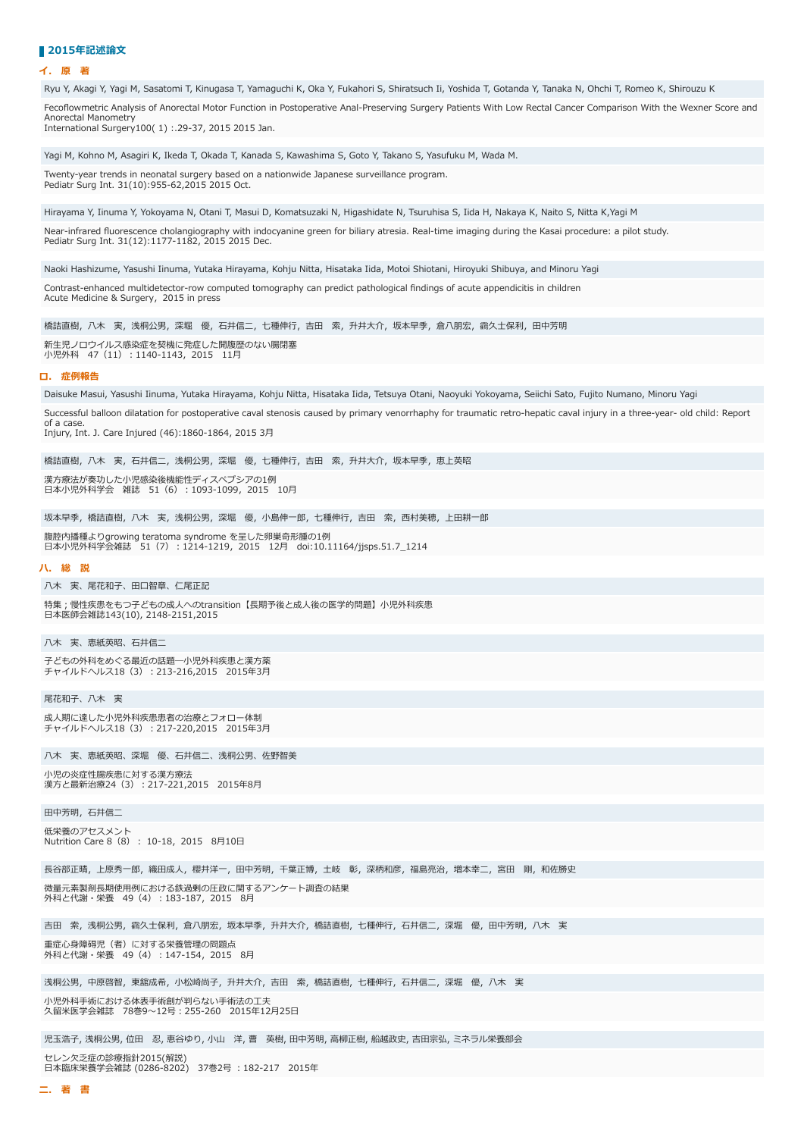## ■2015年記述論**文**

## **イ. 原 著**

Ryu Y, Akagi Y, Yagi M, Sasatomi T, Kinugasa T, Yamaguchi K, Oka Y, Fukahori S, Shiratsuch Ii, Yoshida T, Gotanda Y, Tanaka N, Ohchi T, Romeo K, Shirouzu K Fecoflowmetric Analysis of Anorectal Motor Function in Postoperative Anal-Preserving Surgery Patients With Low Rectal Cancer Comparison With the Wexner Score and Anorectal Manometry International Surgery100( 1) :.29-37, 2015 2015 Jan. Yagi M, Kohno M, Asagiri K, Ikeda T, Okada T, Kanada S, Kawashima S, Goto Y, Takano S, Yasufuku M, Wada M. Twenty-year trends in neonatal surgery based on a nationwide Japanese surveillance program. Pediatr Surg Int. 31(10):955-62,2015 2015 Oct. Hirayama Y, Iinuma Y, Yokoyama N, Otani T, Masui D, Komatsuzaki N, Higashidate N, Tsuruhisa S, Iida H, Nakaya K, Naito S, Nitta K,Yagi M Near-infrared fluorescence cholangiography with indocyanine green for biliary atresia. Real-time imaging during the Kasai procedure: a pilot study. Pediatr Surg Int. 31(12):1177-1182, 2015 2015 Dec. Naoki Hashizume, Yasushi Iinuma, Yutaka Hirayama, Kohju Nitta, Hisataka Iida, Motoi Shiotani, Hiroyuki Shibuya, and Minoru Yagi Contrast-enhanced multidetector-row computed tomography can predict pathological findings of acute appendicitis in children Acute Medicine & Surgery, 2015 in press 橋詰直樹,八木 実,浅桐公男,深堀 優,石井信二,七種伸行,吉田 索,升井大介,坂本早季,倉八朋宏,靍久士保利,田中芳明 新⽣児ノロウイルス感染症を契機に発症した開腹歴のない腸閉塞 小児外科 47 (11): 1140-1143, 2015 11月 **ロ. 症例報告** Daisuke Masui, Yasushi Iinuma, Yutaka Hirayama, Kohju Nitta, Hisataka Iida, Tetsuya Otani, Naoyuki Yokoyama, Seiichi Sato, Fujito Numano, Minoru Yagi Successful balloon dilatation for postoperative caval stenosis caused by primary venorrhaphy for traumatic retro-hepatic caval injury in a three-year- old child: Report of a case. Injury, Int. J. Care Injured (46):1860-1864, 2015 3月 橋詰直樹, 八木 実, 石井信二, 浅桐公男, 深堀 優, 七種伸行, 吉田 索, 升井大介, 坂本早季, 恵上英昭 漢方療法が奏功した小児感染後機能性ディスペプシアの1例 日本小児外科学会 雑誌 51 (6) : 1093-1099, 2015 10月 坂本早季, 橋詰直樹, 八木 実, 浅桐公男, 深堀 優, 小島伸一郎, 七種伸行, 吉田 索, 西村美穂, 上田耕一郎 腹腔内播種よりgrowing teratoma syndrome を呈した卵巣奇形腫の1例 ⽇本⼩児外科学会雑誌 51(7)︓1214-1219,2015 12⽉ doi:10.11164/jjsps.51.7\_1214 **ハ. 総 説** 八木 実、尾花和子、田口智章、仁尾正記 特集;慢性疾患をもつ子どもの成人へのtransition【長期予後と成人後の医学的問題】小児外科疾患 ⽇本医師会雑誌143(10), 2148-2151,2015 八木 実、恵紙英昭、石井信二 子ともの外科をめぐる最近の話題─小児外科疾患と漢万楽<br>チャイルドヘルス18(3) : 213-216,2015 2015年3<mark>月</mark> 尾花和子、八木 実 成⼈期に達した⼩児外科疾患患者の治療とフォロー体制 チャイルドへルス18 (3) : 217-220,2015 2015年3月 八木 実、恵紙英昭、深堀 優、石井信二、浅桐公男、佐野智美 小児の炎症性腸疾患に対する漢方療法 漢方と最新治療24 (3) : 217-221,2015 2015年8月 田中芳明, 石井信二 低栄養のアセスメント Nutrition Care 8 (8) : 10-18, 2015 8月10日 長谷部正晴, 上原秀一郎, 織田成人, 櫻井洋一, 田中芳明, 千葉正博, 土岐 彰, 深柄和彦, 福島亮治, 増本幸二, 宮田 剛, 和佐勝史 微量元素製剤長期使用例における鉄過剰の圧政に関するアンケート調査の結果 外科と代謝・栄養 49 (4) : 183-187, 2015 8月 吉田 索, 浅桐公男, 靍久士保利, 倉八朋宏, 坂本早季, 升井大介, 橋詰直樹, 七種伸行, 石井信二, 深堀 優, 田中芳明, 八木 実 重症⼼⾝障碍児(者)に対する栄養管理の問題点 <u>- エロジンの代表日</u>エンラ<u>流</u><br>外科と代謝・栄養 49(4): 147-154, 2015 8月

浅桐公男,中原啓智,東舘成希,小松崎尚子,升井大介,吉田 索,橋詰直樹,七種伸行,石井信二,深堀 優,八木 実

小児外科手術における体表手術創が判らない手術法の工夫 久留⽶医学会雑誌 78巻9〜12号︓255-260 2015年12⽉25⽇

児玉浩子, 浅桐公男, 位田 忍, 恵谷ゆり, 小山 洋, 曹 英樹, 田中芳明, 高柳正樹, 船越政史, 吉田宗弘, ミネラル栄養部会

セレン⽋乏症の診療指針2015(解説) 日本臨床栄養学会雑誌 (0286-8202) 37巻2号: 182-217 2015年

**ニ. 著 書**